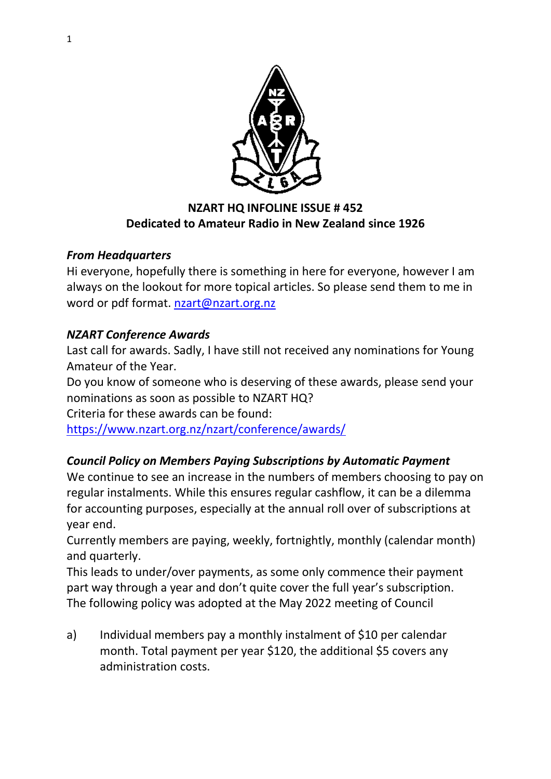

# **NZART HQ INFOLINE ISSUE # 452 Dedicated to Amateur Radio in New Zealand since 1926**

# *From Headquarters*

Hi everyone, hopefully there is something in here for everyone, however I am always on the lookout for more topical articles. So please send them to me in word or pdf format. [nzart@nzart.org.nz](mailto:nzart@nzart.org.nz)

# *NZART Conference Awards*

Last call for awards. Sadly, I have still not received any nominations for Young Amateur of the Year.

Do you know of someone who is deserving of these awards, please send your nominations as soon as possible to NZART HQ?

Criteria for these awards can be found:

<https://www.nzart.org.nz/nzart/conference/awards/>

# *Council Policy on Members Paying Subscriptions by Automatic Payment*

We continue to see an increase in the numbers of members choosing to pay on regular instalments. While this ensures regular cashflow, it can be a dilemma for accounting purposes, especially at the annual roll over of subscriptions at year end.

Currently members are paying, weekly, fortnightly, monthly (calendar month) and quarterly.

This leads to under/over payments, as some only commence their payment part way through a year and don't quite cover the full year's subscription. The following policy was adopted at the May 2022 meeting of Council

a) Individual members pay a monthly instalment of \$10 per calendar month. Total payment per year \$120, the additional \$5 covers any administration costs.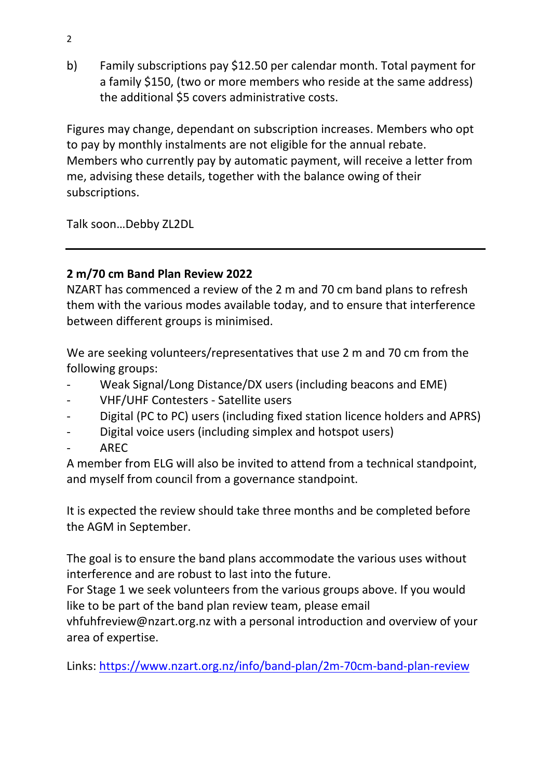b) Family subscriptions pay \$12.50 per calendar month. Total payment for a family \$150, (two or more members who reside at the same address) the additional \$5 covers administrative costs.

Figures may change, dependant on subscription increases. Members who opt to pay by monthly instalments are not eligible for the annual rebate. Members who currently pay by automatic payment, will receive a letter from me, advising these details, together with the balance owing of their subscriptions.

Talk soon…Debby ZL2DL

# **2 m/70 cm Band Plan Review 2022**

NZART has commenced a review of the 2 m and 70 cm band plans to refresh them with the various modes available today, and to ensure that interference between different groups is minimised.

We are seeking volunteers/representatives that use 2 m and 70 cm from the following groups:

- Weak Signal/Long Distance/DX users (including beacons and EME)
- VHF/UHF Contesters Satellite users
- Digital (PC to PC) users (including fixed station licence holders and APRS)
- Digital voice users (including simplex and hotspot users)
- AREC

A member from ELG will also be invited to attend from a technical standpoint, and myself from council from a governance standpoint.

It is expected the review should take three months and be completed before the AGM in September.

The goal is to ensure the band plans accommodate the various uses without interference and are robust to last into the future.

For Stage 1 we seek volunteers from the various groups above. If you would like to be part of the band plan review team, please email

vhfuhfreview@nzart.org.nz with a personal introduction and overview of your area of expertise.

Links:<https://www.nzart.org.nz/info/band-plan/2m-70cm-band-plan-review>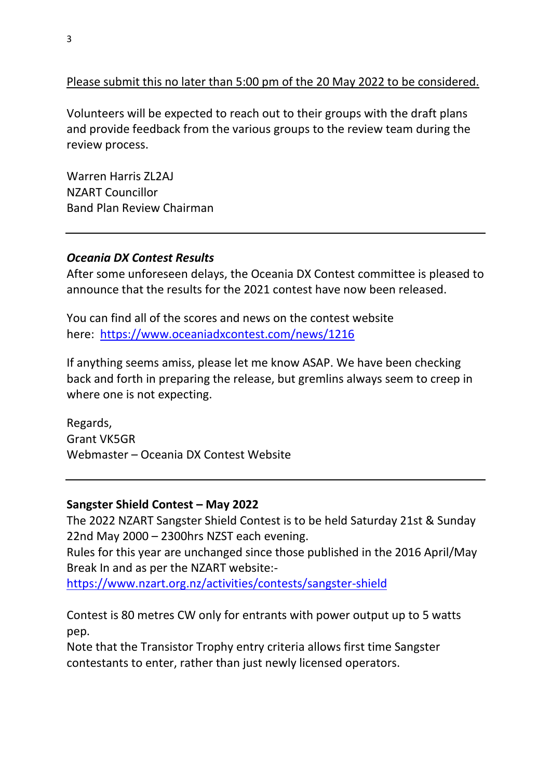#### Please submit this no later than 5:00 pm of the 20 May 2022 to be considered.

Volunteers will be expected to reach out to their groups with the draft plans and provide feedback from the various groups to the review team during the review process.

Warren Harris ZL2AJ NZART Councillor Band Plan Review Chairman

#### *Oceania DX Contest Results*

After some unforeseen delays, the Oceania DX Contest committee is pleased to announce that the results for the 2021 contest have now been released.

You can find all of the scores and news on the contest website here: <https://www.oceaniadxcontest.com/news/1216>

If anything seems amiss, please let me know ASAP. We have been checking back and forth in preparing the release, but gremlins always seem to creep in where one is not expecting.

Regards, Grant VK5GR Webmaster – Oceania DX Contest Website

#### **Sangster Shield Contest – May 2022**

The 2022 NZART Sangster Shield Contest is to be held Saturday 21st & Sunday 22nd May 2000 – 2300hrs NZST each evening.

Rules for this year are unchanged since those published in the 2016 April/May Break In and as per the NZART website:-

<https://www.nzart.org.nz/activities/contests/sangster-shield>

Contest is 80 metres CW only for entrants with power output up to 5 watts pep.

Note that the Transistor Trophy entry criteria allows first time Sangster contestants to enter, rather than just newly licensed operators.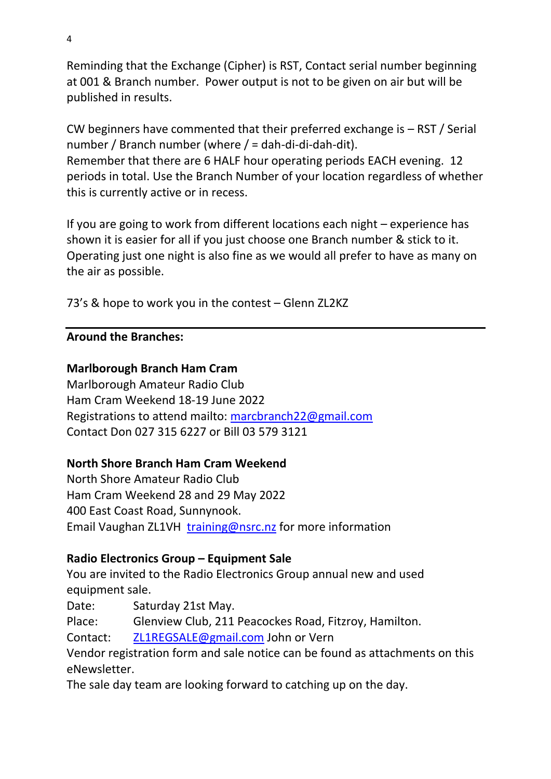Reminding that the Exchange (Cipher) is RST, Contact serial number beginning at 001 & Branch number. Power output is not to be given on air but will be published in results.

CW beginners have commented that their preferred exchange is – RST / Serial number / Branch number (where / = dah-di-di-dah-dit). Remember that there are 6 HALF hour operating periods EACH evening. 12 periods in total. Use the Branch Number of your location regardless of whether this is currently active or in recess.

If you are going to work from different locations each night – experience has shown it is easier for all if you just choose one Branch number & stick to it. Operating just one night is also fine as we would all prefer to have as many on the air as possible.

73's & hope to work you in the contest – Glenn ZL2KZ

#### **Around the Branches:**

### **Marlborough Branch Ham Cram**

Marlborough Amateur Radio Club Ham Cram Weekend 18-19 June 2022 Registrations to attend mailto: [marcbranch22@gmail.com](mailto:marcbranch22@gmail.com) Contact Don 027 315 6227 or Bill 03 579 3121

#### **North Shore Branch Ham Cram Weekend**

North Shore Amateur Radio Club Ham Cram Weekend 28 and 29 May 2022 400 East Coast Road, Sunnynook. Email Vaughan ZL1VH [training@nsrc.nz](mailto:training@nsrc.nz) for more information

#### **Radio Electronics Group – Equipment Sale**

You are invited to the Radio Electronics Group annual new and used equipment sale.

Date: Saturday 21st May.

Place: Glenview Club, 211 Peacockes Road, Fitzroy, Hamilton.

Contact: [ZL1REGSALE@gmail.com](mailto:ZL1REGSALE@gmail.com) John or Vern

Vendor registration form and sale notice can be found as attachments on this eNewsletter.

The sale day team are looking forward to catching up on the day.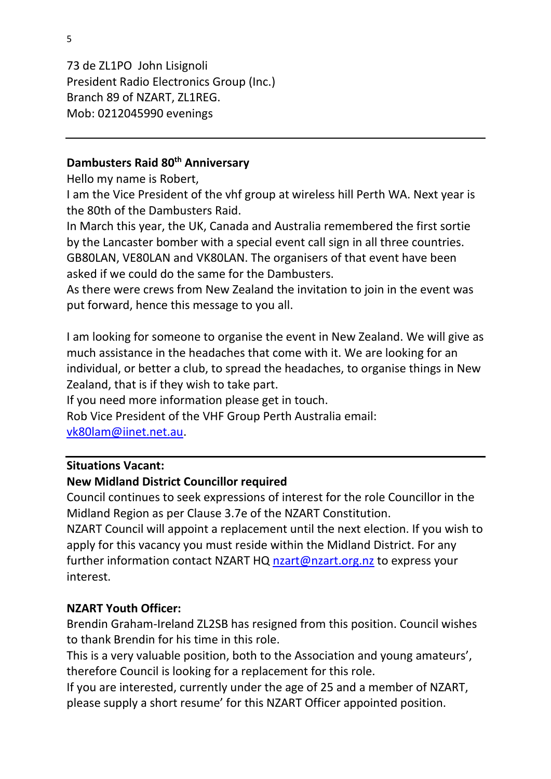73 de ZL1PO John Lisignoli President Radio Electronics Group (Inc.) Branch 89 of NZART, ZL1REG. Mob: 0212045990 evenings

#### **Dambusters Raid 80th Anniversary**

Hello my name is Robert,

I am the Vice President of the vhf group at wireless hill Perth WA. Next year is the 80th of the Dambusters Raid.

In March this year, the UK, Canada and Australia remembered the first sortie by the Lancaster bomber with a special event call sign in all three countries. GB80LAN, VE80LAN and VK80LAN. The organisers of that event have been asked if we could do the same for the Dambusters.

As there were crews from New Zealand the invitation to join in the event was put forward, hence this message to you all.

I am looking for someone to organise the event in New Zealand. We will give as much assistance in the headaches that come with it. We are looking for an individual, or better a club, to spread the headaches, to organise things in New Zealand, that is if they wish to take part.

If you need more information please get in touch.

Rob Vice President of the VHF Group Perth Australia email: [vk80lam@iinet.net.au.](mailto:vk80lam@iinet.net.au)

#### **Situations Vacant:**

#### **New Midland District Councillor required**

Council continues to seek expressions of interest for the role Councillor in the Midland Region as per Clause 3.7e of the NZART Constitution.

NZART Council will appoint a replacement until the next election. If you wish to apply for this vacancy you must reside within the Midland District. For any further information contact NZART HQ [nzart@nzart.org.nz](mailto:nzart@nzart.org.nz) to express your interest.

#### **NZART Youth Officer:**

Brendin Graham-Ireland ZL2SB has resigned from this position. Council wishes to thank Brendin for his time in this role.

This is a very valuable position, both to the Association and young amateurs', therefore Council is looking for a replacement for this role.

If you are interested, currently under the age of 25 and a member of NZART, please supply a short resume' for this NZART Officer appointed position.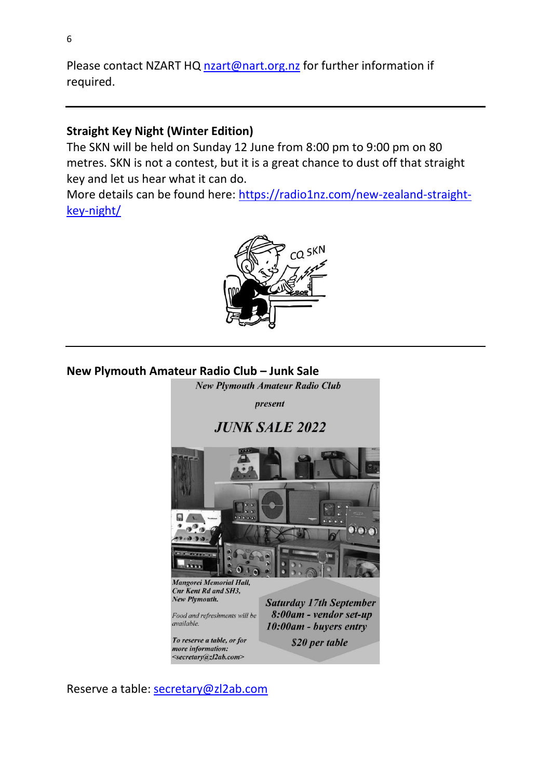Please contact NZART HQ [nzart@nart.org.nz](mailto:nzart@nart.org.nz) for further information if required.

#### **Straight Key Night (Winter Edition)**

The SKN will be held on Sunday 12 June from 8:00 pm to 9:00 pm on 80 metres. SKN is not a contest, but it is a great chance to dust off that straight key and let us hear what it can do.

More details can be found here: [https://radio1nz.com/new-zealand-straight](https://radio1nz.com/new-zealand-straight-key-night/)[key-night/](https://radio1nz.com/new-zealand-straight-key-night/)



#### **New Plymouth Amateur Radio Club – Junk Sale**



Reserve a table: [secretary@zl2ab.com](mailto:secretary@zl2ab.com)